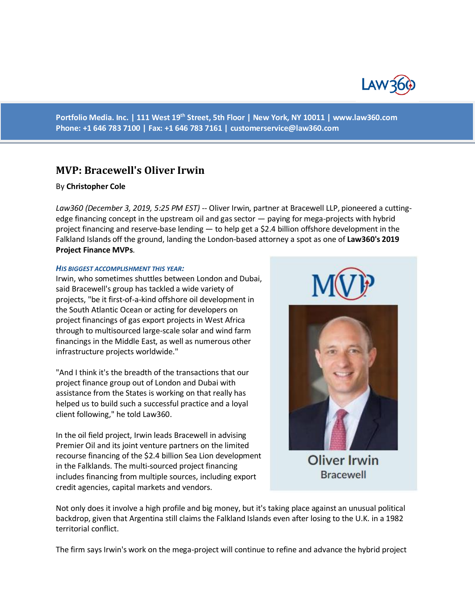

**Portfolio Media. Inc. | 111 West 19th Street, 5th Floor | New York, NY 10011 | www.law360.com Phone: +1 646 783 7100 | Fax: +1 646 783 7161 | [customerservice@law360.com](mailto:customerservice@law360.com)**

# **MVP: Bracewell's Oliver Irwin**

## By **Christopher Cole**

*Law360 (December 3, 2019, 5:25 PM EST) --* Oliver Irwin, partner at Bracewell LLP, pioneered a cuttingedge financing concept in the upstream oil and gas sector — paying for mega-projects with hybrid project financing and reserve-base lending — to help get a \$2.4 billion offshore development in the Falkland Islands off the ground, landing the London-based attorney a spot as one of **Law360's 2019 Project Finance MVPs**.

## *HIS BIGGEST ACCOMPLISHMENT THIS YEAR:*

Irwin, who sometimes shuttles between London and Dubai, said Bracewell's group has tackled a wide variety of projects, "be it first-of-a-kind offshore oil development in the South Atlantic Ocean or acting for developers on project financings of gas export projects in West Africa through to multisourced large-scale solar and wind farm financings in the Middle East, as well as numerous other infrastructure projects worldwide."

"And I think it's the breadth of the transactions that our project finance group out of London and Dubai with assistance from the States is working on that really has helped us to build such a successful practice and a loyal client following," he told Law360.

In the oil field project, Irwin leads Bracewell in advising Premier Oil and its joint venture partners on the limited recourse financing of the \$2.4 billion Sea Lion development in the Falklands. The multi-sourced project financing includes financing from multiple sources, including export credit agencies, capital markets and vendors.



**Oliver Irwin Bracewell** 

Not only does it involve a high profile and big money, but it's taking place against an unusual political backdrop, given that Argentina still claims the Falkland Islands even after losing to the U.K. in a 1982 territorial conflict.

The firm says Irwin's work on the mega-project will continue to refine and advance the hybrid project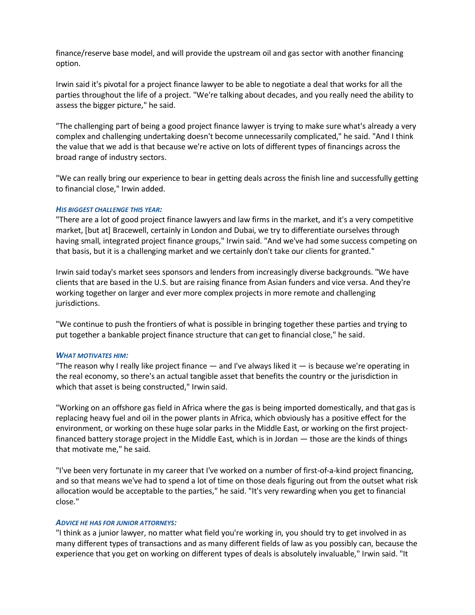finance/reserve base model, and will provide the upstream oil and gas sector with another financing option.

Irwin said it's pivotal for a project finance lawyer to be able to negotiate a deal that works for all the parties throughout the life of a project. "We're talking about decades, and you really need the ability to assess the bigger picture," he said.

"The challenging part of being a good project finance lawyer is trying to make sure what's already a very complex and challenging undertaking doesn't become unnecessarily complicated," he said. "And I think the value that we add is that because we're active on lots of different types of financings across the broad range of industry sectors.

"We can really bring our experience to bear in getting deals across the finish line and successfully getting to financial close," Irwin added.

## *HIS BIGGEST CHALLENGE THIS YEAR:*

"There are a lot of good project finance lawyers and law firms in the market, and it's a very competitive market, [but at] Bracewell, certainly in London and Dubai, we try to differentiate ourselves through having small, integrated project finance groups," Irwin said. "And we've had some success competing on that basis, but it is a challenging market and we certainly don't take our clients for granted."

Irwin said today's market sees sponsors and lenders from increasingly diverse backgrounds. "We have clients that are based in the U.S. but are raising finance from Asian funders and vice versa. And they're working together on larger and ever more complex projects in more remote and challenging jurisdictions.

"We continue to push the frontiers of what is possible in bringing together these parties and trying to put together a bankable project finance structure that can get to financial close," he said.

## *WHAT MOTIVATES HIM:*

"The reason why I really like project finance  $-$  and I've always liked it  $-$  is because we're operating in the real economy, so there's an actual tangible asset that benefits the country or the jurisdiction in which that asset is being constructed," Irwin said.

"Working on an offshore gas field in Africa where the gas is being imported domestically, and that gas is replacing heavy fuel and oil in the power plants in Africa, which obviously has a positive effect for the environment, or working on these huge solar parks in the Middle East, or working on the first projectfinanced battery storage project in the Middle East, which is in Jordan — those are the kinds of things that motivate me," he said.

"I've been very fortunate in my career that I've worked on a number of first-of-a-kind project financing, and so that means we've had to spend a lot of time on those deals figuring out from the outset what risk allocation would be acceptable to the parties," he said. "It's very rewarding when you get to financial close."

## *ADVICE HE HAS FOR JUNIOR ATTORNEYS:*

"I think as a junior lawyer, no matter what field you're working in, you should try to get involved in as many different types of transactions and as many different fields of law as you possibly can, because the experience that you get on working on different types of deals is absolutely invaluable," Irwin said. "It